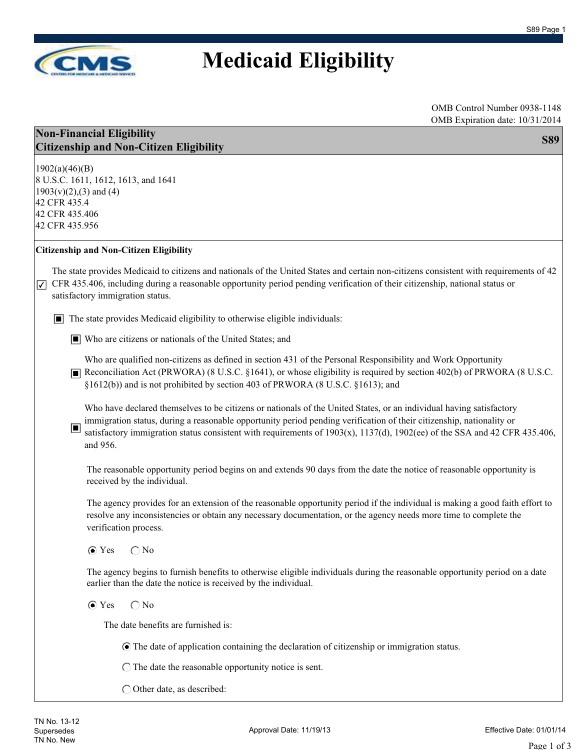

### **Medicaid Eligibility**

OMB Control Number 0938-1148 OMB Expiration date: 10/31/2014

| <b>Non-Financial Eligibility</b>               | <b>S89</b> |
|------------------------------------------------|------------|
| <b>Citizenship and Non-Citizen Eligibility</b> |            |
|                                                |            |

1902(a)(46)(B) 8 U.S.C. 1611, 1612, 1613, and 1641  $1903(v)(2),(3)$  and  $(4)$ 42 CFR 435.4 42 CFR 435.406 42 CFR 435.956

#### **Citizenship and Non-Citizen Eligibility**

The state provides Medicaid to citizens and nationals of the United States and certain non-citizens consistent with requirements of 42  $\triangledown$  CFR 435.406, including during a reasonable opportunity period pending verification of their citizenship, national status or satisfactory immigration status.

■ The state provides Medicaid eligibility to otherwise eligible individuals:

■ Who are citizens or nationals of the United States; and

Who are qualified non-citizens as defined in section 431 of the Personal Responsibility and Work Opportunity ■ Reconciliation Act (PRWORA) (8 U.S.C. §1641), or whose eligibility is required by section 402(b) of PRWORA (8 U.S.C. §1612(b)) and is not prohibited by section 403 of PRWORA (8 U.S.C. §1613); and

Who have declared themselves to be citizens or nationals of the United States, or an individual having satisfactory immigration status, during a reasonable opportunity period pending verification of their citizenship, nationality or

satisfactory immigration status consistent with requirements of 1903(x), 1137(d), 1902(ee) of the SSA and 42 CFR 435.406, and 956. ■

The reasonable opportunity period begins on and extends 90 days from the date the notice of reasonable opportunity is received by the individual.

The agency provides for an extension of the reasonable opportunity period if the individual is making a good faith effort to resolve any inconsistencies or obtain any necessary documentation, or the agency needs more time to complete the verification process.

#### $\bigcirc$  Yes  $\bigcirc$  No

The agency begins to furnish benefits to otherwise eligible individuals during the reasonable opportunity period on a date earlier than the date the notice is received by the individual.

#### $\bigcirc$  Yes  $\bigcirc$  No

The date benefits are furnished is:

The date of application containing the declaration of citizenship or immigration status.

 $\bigcirc$  The date the reasonable opportunity notice is sent.

Other date, as described: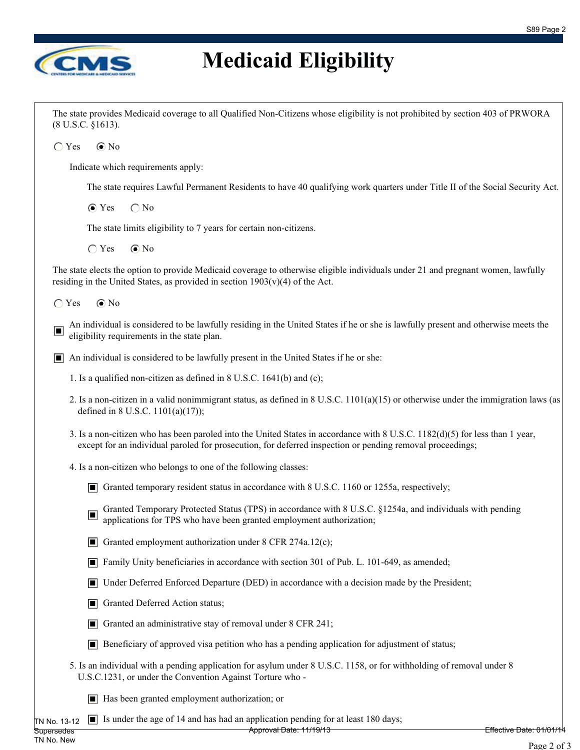٦



# **Medicaid Eligibility**

| (8 U.S.C. §1613). | The state provides Medicaid coverage to all Qualified Non-Citizens whose eligibility is not prohibited by section 403 of PRWORA                                                                                                           |                         |
|-------------------|-------------------------------------------------------------------------------------------------------------------------------------------------------------------------------------------------------------------------------------------|-------------------------|
| $\bigcirc$ Yes    | $\odot$ No                                                                                                                                                                                                                                |                         |
|                   | Indicate which requirements apply:                                                                                                                                                                                                        |                         |
|                   | The state requires Lawful Permanent Residents to have 40 qualifying work quarters under Title II of the Social Security Act.                                                                                                              |                         |
|                   | $\odot$ Yes<br>$\bigcap$ No                                                                                                                                                                                                               |                         |
|                   | The state limits eligibility to 7 years for certain non-citizens.                                                                                                                                                                         |                         |
|                   | $\odot$ No<br>$\bigcirc$ Yes                                                                                                                                                                                                              |                         |
|                   | The state elects the option to provide Medicaid coverage to otherwise eligible individuals under 21 and pregnant women, lawfully<br>residing in the United States, as provided in section $1903(v)(4)$ of the Act.                        |                         |
| $\bigcirc$ Yes    | $\odot$ No                                                                                                                                                                                                                                |                         |
| ▣                 | An individual is considered to be lawfully residing in the United States if he or she is lawfully present and otherwise meets the<br>eligibility requirements in the state plan.                                                          |                         |
|                   | $\Box$ An individual is considered to be lawfully present in the United States if he or she:                                                                                                                                              |                         |
|                   | 1. Is a qualified non-citizen as defined in 8 U.S.C. 1641(b) and (c);                                                                                                                                                                     |                         |
|                   | 2. Is a non-citizen in a valid nonimmigrant status, as defined in 8 U.S.C. 1101(a)(15) or otherwise under the immigration laws (as<br>defined in 8 U.S.C. 1101(a)(17));                                                                   |                         |
|                   | 3. Is a non-citizen who has been paroled into the United States in accordance with 8 U.S.C. 1182(d)(5) for less than 1 year,<br>except for an individual paroled for prosecution, for deferred inspection or pending removal proceedings; |                         |
|                   | 4. Is a non-citizen who belongs to one of the following classes:                                                                                                                                                                          |                         |
|                   | Granted temporary resident status in accordance with 8 U.S.C. 1160 or 1255a, respectively;                                                                                                                                                |                         |
|                   | Granted Temporary Protected Status (TPS) in accordance with 8 U.S.C. §1254a, and individuals with pending<br>$\Box$<br>applications for TPS who have been granted employment authorization;                                               |                         |
|                   | Granted employment authorization under 8 CFR 274a.12(c);                                                                                                                                                                                  |                         |
|                   | Family Unity beneficiaries in accordance with section 301 of Pub. L. 101-649, as amended;                                                                                                                                                 |                         |
|                   | Under Deferred Enforced Departure (DED) in accordance with a decision made by the President;<br>Ш                                                                                                                                         |                         |
|                   | Granted Deferred Action status;<br>ш                                                                                                                                                                                                      |                         |
|                   | Granted an administrative stay of removal under 8 CFR 241;<br>IП                                                                                                                                                                          |                         |
|                   | $\Box$ Beneficiary of approved visa petition who has a pending application for adjustment of status;                                                                                                                                      |                         |
|                   | 5. Is an individual with a pending application for asylum under 8 U.S.C. 1158, or for withholding of removal under 8<br>U.S.C.1231, or under the Convention Against Torture who -                                                         |                         |
|                   | $\blacksquare$ Has been granted employment authorization; or                                                                                                                                                                              |                         |
| TN No. 13-12      | Is under the age of 14 and has had an application pending for at least 180 days;<br>Approval Date: 11/19/13                                                                                                                               | Effective Date: 01/01/1 |